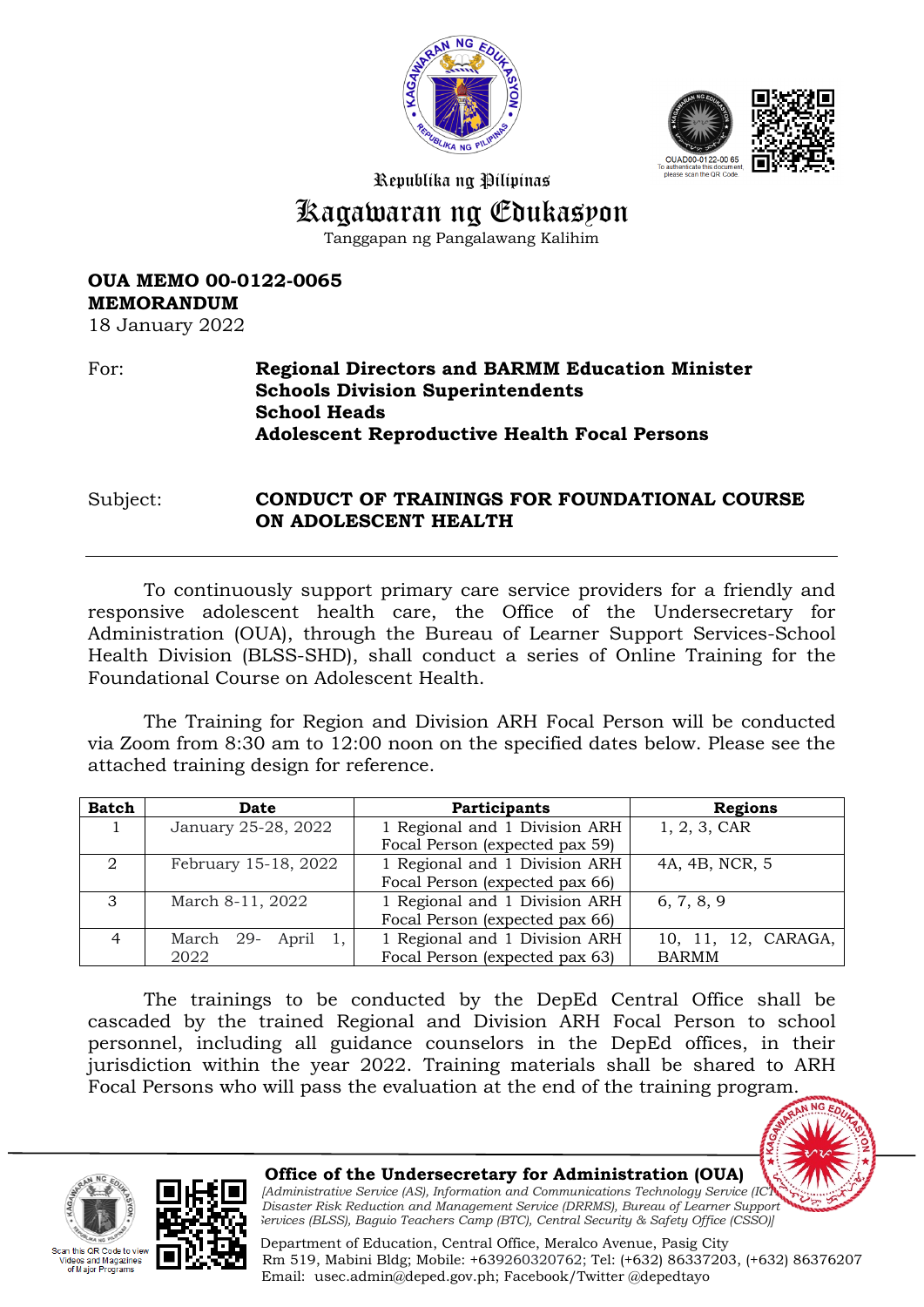



Republika ng Pilipinas

# Kagawaran ng Edukasyon

Tanggapan ng Pangalawang Kalihim

**OUA MEMO 00-0122-0065 MEMORANDUM** 18 January 2022

# For: **Regional Directors and BARMM Education Minister Schools Division Superintendents School Heads Adolescent Reproductive Health Focal Persons**

Subject: **CONDUCT OF TRAININGS FOR FOUNDATIONAL COURSE ON ADOLESCENT HEALTH**

To continuously support primary care service providers for a friendly and responsive adolescent health care, the Office of the Undersecretary for Administration (OUA), through the Bureau of Learner Support Services-School Health Division (BLSS-SHD), shall conduct a series of Online Training for the Foundational Course on Adolescent Health.

The Training for Region and Division ARH Focal Person will be conducted via Zoom from 8:30 am to 12:00 noon on the specified dates below. Please see the attached training design for reference.

| <b>Batch</b>   | Date                  | Participants                   | Regions             |
|----------------|-----------------------|--------------------------------|---------------------|
|                | January 25-28, 2022   | 1 Regional and 1 Division ARH  | 1, 2, 3, CAR        |
|                |                       | Focal Person (expected pax 59) |                     |
| $\overline{2}$ | February 15-18, 2022  | 1 Regional and 1 Division ARH  | 4A, 4B, NCR, 5      |
|                |                       | Focal Person (expected pax 66) |                     |
| $\mathbf{3}$   | March 8-11, 2022      | 1 Regional and 1 Division ARH  | 6, 7, 8, 9          |
|                |                       | Focal Person (expected pax 66) |                     |
| $\overline{4}$ | March 29-<br>April 1, | 1 Regional and 1 Division ARH  | 10, 11, 12, CARAGA, |
|                | 2022                  | Focal Person (expected pax 63) | <b>BARMM</b>        |

The trainings to be conducted by the DepEd Central Office shall be cascaded by the trained Regional and Division ARH Focal Person to school personnel, including all guidance counselors in the DepEd offices, in their jurisdiction within the year 2022. Training materials shall be shared to ARH Focal Persons who will pass the evaluation at the end of the training program.







 **Office of the Undersecretary for Administration (OUA)**

*[Administrative Service (AS), Information and Communications Technology Service (IC Disaster Risk Reduction and Management Service (DRRMS), Bureau of Learner Support Services (BLSS), Baguio Teachers Camp (BTC), Central Security & Safety Office (CSSO)]*

 Department of Education, Central Office, Meralco Avenue, Pasig City Rm 519, Mabini Bldg; Mobile: +639260320762; Tel: (+632) 86337203, (+632) 86376207 Email: [usec.admin@deped.gov.ph;](mailto:usec.admin@deped.gov.ph) Facebook/Twitter @depedtayo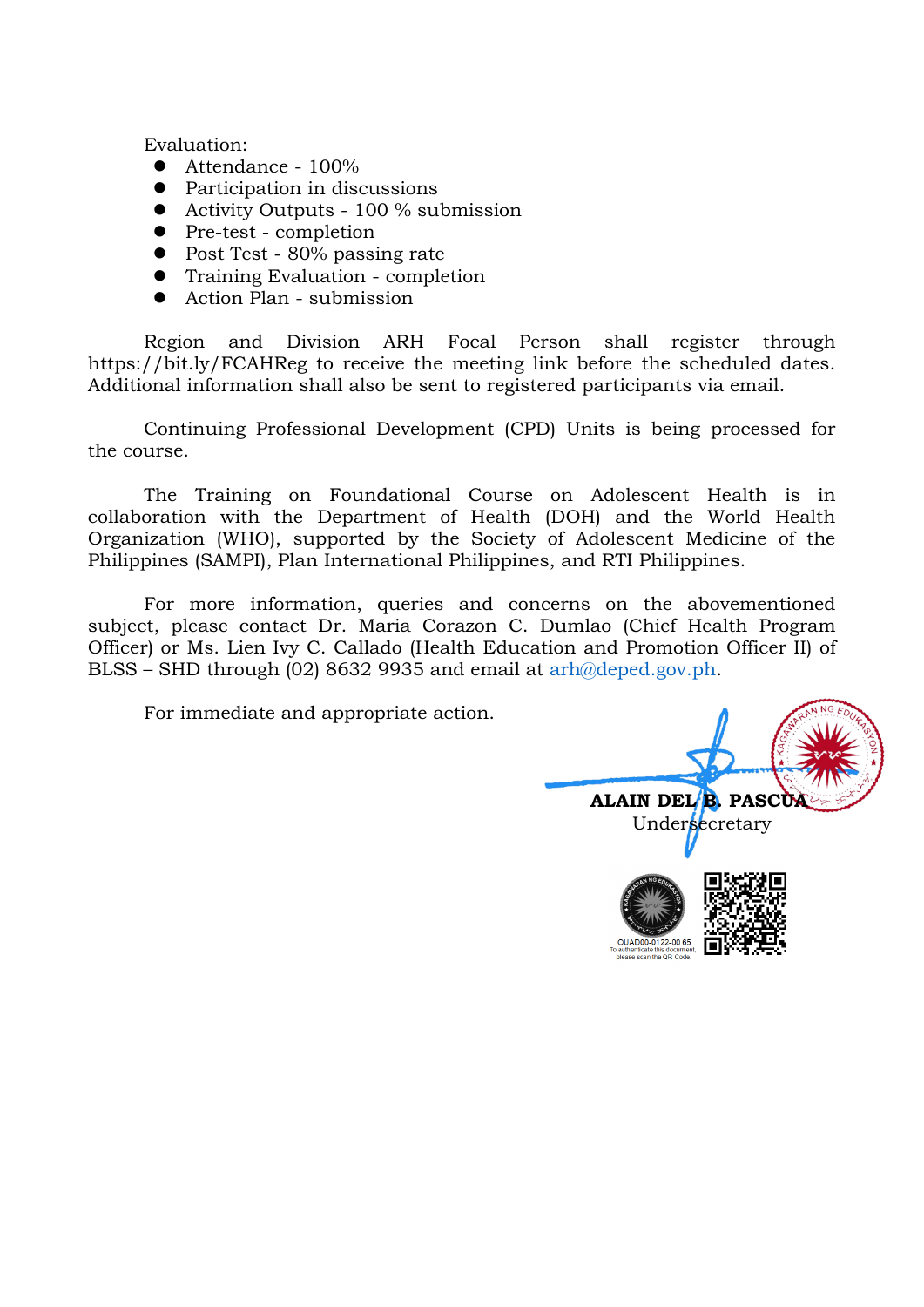Evaluation:

- Attendance 100%
- Participation in discussions
- Activity Outputs 100 % submission
- Pre-test completion
- Post Test 80% passing rate
- Training Evaluation completion
- Action Plan submission

Region and Division ARH Focal Person shall register through https://bit.ly/FCAHReg to receive the meeting link before the scheduled dates. Additional information shall also be sent to registered participants via email.

Continuing Professional Development (CPD) Units is being processed for the course.

The Training on Foundational Course on Adolescent Health is in collaboration with the Department of Health (DOH) and the World Health Organization (WHO), supported by the Society of Adolescent Medicine of the Philippines (SAMPI), Plan International Philippines, and RTI Philippines.

For more information, queries and concerns on the abovementioned subject, please contact Dr. Maria Corazon C. Dumlao (Chief Health Program Officer) or Ms. Lien Ivy C. Callado (Health Education and Promotion Officer II) of BLSS – SHD through (02) 8632 9935 and email at [arh@deped.gov.ph.](mailto:blss.shd@deped.gov.ph)

For immediate and appropriate action.

**ALAIN DEL B. PASCUA** Undersecretary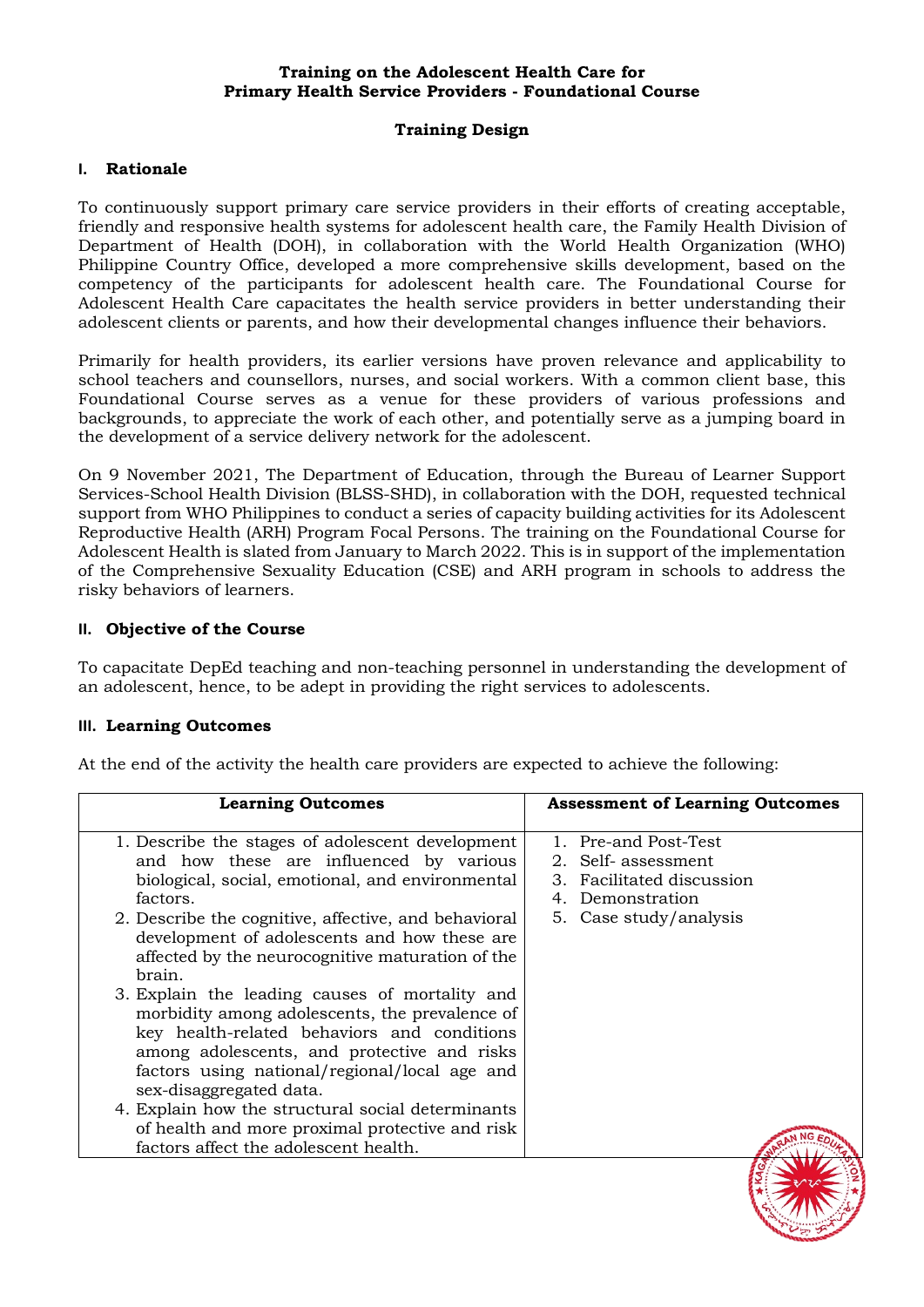## **Training on the Adolescent Health Care for Primary Health Service Providers - Foundational Course**

## **Training Design**

#### **I. Rationale**

To continuously support primary care service providers in their efforts of creating acceptable, friendly and responsive health systems for adolescent health care, the Family Health Division of Department of Health (DOH), in collaboration with the World Health Organization (WHO) Philippine Country Office, developed a more comprehensive skills development, based on the competency of the participants for adolescent health care. The Foundational Course for Adolescent Health Care capacitates the health service providers in better understanding their adolescent clients or parents, and how their developmental changes influence their behaviors.

Primarily for health providers, its earlier versions have proven relevance and applicability to school teachers and counsellors, nurses, and social workers. With a common client base, this Foundational Course serves as a venue for these providers of various professions and backgrounds, to appreciate the work of each other, and potentially serve as a jumping board in the development of a service delivery network for the adolescent.

On 9 November 2021, The Department of Education, through the Bureau of Learner Support Services-School Health Division (BLSS-SHD), in collaboration with the DOH, requested technical support from WHO Philippines to conduct a series of capacity building activities for its Adolescent Reproductive Health (ARH) Program Focal Persons. The training on the Foundational Course for Adolescent Health is slated from January to March 2022. This is in support of the implementation of the Comprehensive Sexuality Education (CSE) and ARH program in schools to address the risky behaviors of learners.

## **II. Objective of the Course**

To capacitate DepEd teaching and non-teaching personnel in understanding the development of an adolescent, hence, to be adept in providing the right services to adolescents.

#### **III. Learning Outcomes**

At the end of the activity the health care providers are expected to achieve the following:

| <b>Learning Outcomes</b>                                                                                                                                                                                                                                                                                                                                                                                                                                                                                                                                                                                                                                                                                                                                         | <b>Assessment of Learning Outcomes</b>                                                                                 |
|------------------------------------------------------------------------------------------------------------------------------------------------------------------------------------------------------------------------------------------------------------------------------------------------------------------------------------------------------------------------------------------------------------------------------------------------------------------------------------------------------------------------------------------------------------------------------------------------------------------------------------------------------------------------------------------------------------------------------------------------------------------|------------------------------------------------------------------------------------------------------------------------|
| 1. Describe the stages of adolescent development<br>and how these are influenced by various<br>biological, social, emotional, and environmental<br>factors.<br>2. Describe the cognitive, affective, and behavioral<br>development of adolescents and how these are<br>affected by the neurocognitive maturation of the<br>brain.<br>3. Explain the leading causes of mortality and<br>morbidity among adolescents, the prevalence of<br>key health-related behaviors and conditions<br>among adolescents, and protective and risks<br>factors using national/regional/local age and<br>sex-disaggregated data.<br>4. Explain how the structural social determinants<br>of health and more proximal protective and risk<br>factors affect the adolescent health. | 1. Pre-and Post-Test<br>2. Self- assessment<br>3. Facilitated discussion<br>4. Demonstration<br>5. Case study/analysis |
|                                                                                                                                                                                                                                                                                                                                                                                                                                                                                                                                                                                                                                                                                                                                                                  |                                                                                                                        |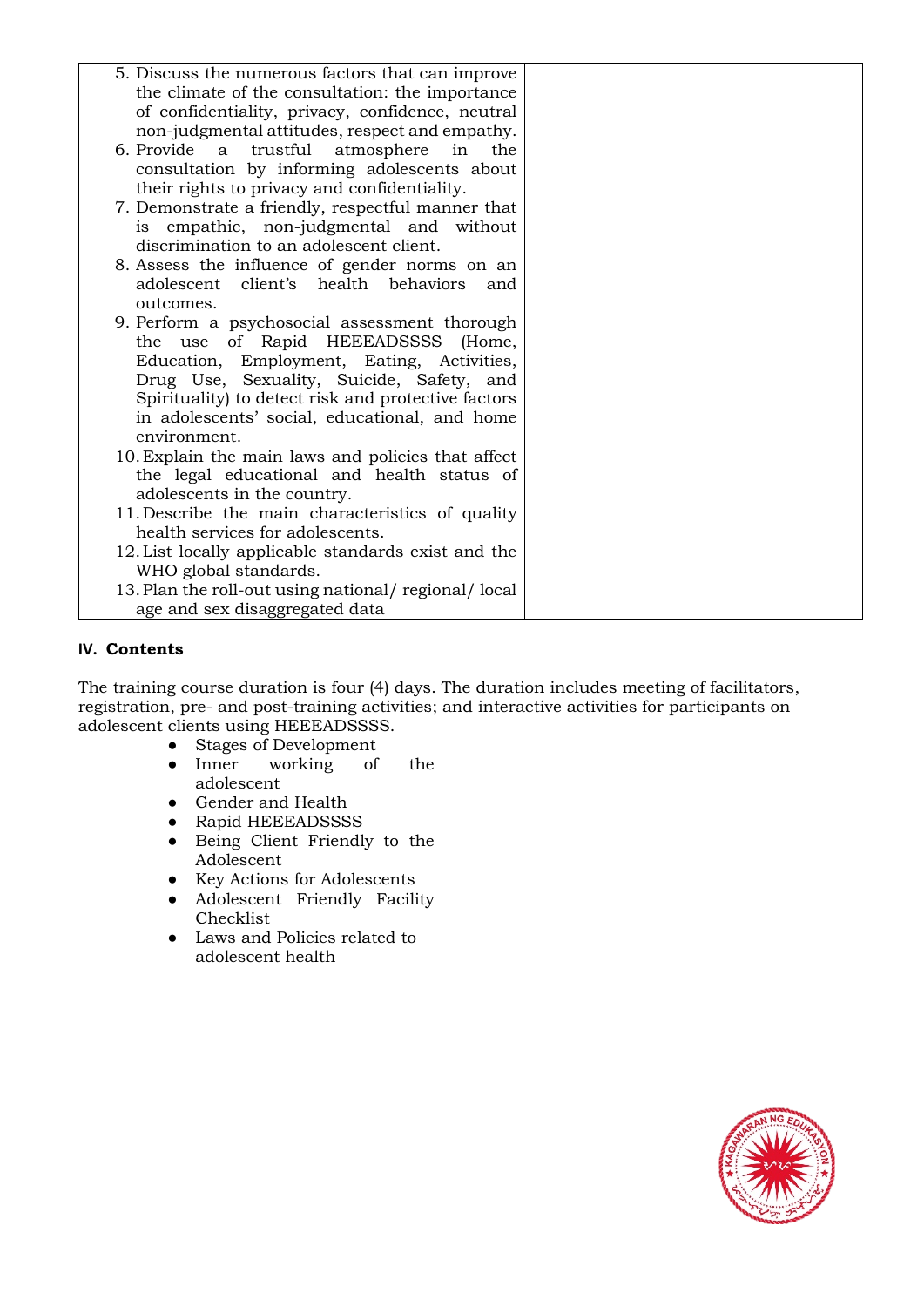| 5. Discuss the numerous factors that can improve    |  |
|-----------------------------------------------------|--|
| the climate of the consultation: the importance     |  |
| of confidentiality, privacy, confidence, neutral    |  |
| non-judgmental attitudes, respect and empathy.      |  |
| 6. Provide<br>trustful atmosphere<br>in<br>a<br>the |  |
| consultation by informing adolescents about         |  |
| their rights to privacy and confidentiality.        |  |
| 7. Demonstrate a friendly, respectful manner that   |  |
| is empathic, non-judgmental and without             |  |
| discrimination to an adolescent client.             |  |
| 8. Assess the influence of gender norms on an       |  |
| adolescent client's health behaviors<br>and         |  |
| outcomes.                                           |  |
| 9. Perform a psychosocial assessment thorough       |  |
| the use of Rapid HEEEADSSSS (Home,                  |  |
| Education, Employment, Eating, Activities,          |  |
| Drug Use, Sexuality, Suicide, Safety, and           |  |
| Spirituality) to detect risk and protective factors |  |
| in adolescents' social, educational, and home       |  |
| environment.                                        |  |
| 10. Explain the main laws and policies that affect  |  |
| the legal educational and health status of          |  |
| adolescents in the country.                         |  |
| 11. Describe the main characteristics of quality    |  |
| health services for adolescents.                    |  |
| 12. List locally applicable standards exist and the |  |
| WHO global standards.                               |  |
| 13. Plan the roll-out using national/regional/local |  |
| age and sex disaggregated data                      |  |

## **IV. Contents**

The training course duration is four (4) days. The duration includes meeting of facilitators, registration, pre- and post-training activities; and interactive activities for participants on adolescent clients using HEEEADSSSS.

- Stages of Development<br>● Inner working of
- working of the adolescent
- $\bullet$  Gender and Health
- Rapid HEEEADSSSS
- Being Client Friendly to the Adolescent
- Key Actions for Adolescents
- Adolescent Friendly Facility Checklist
- Laws and Policies related to adolescent health

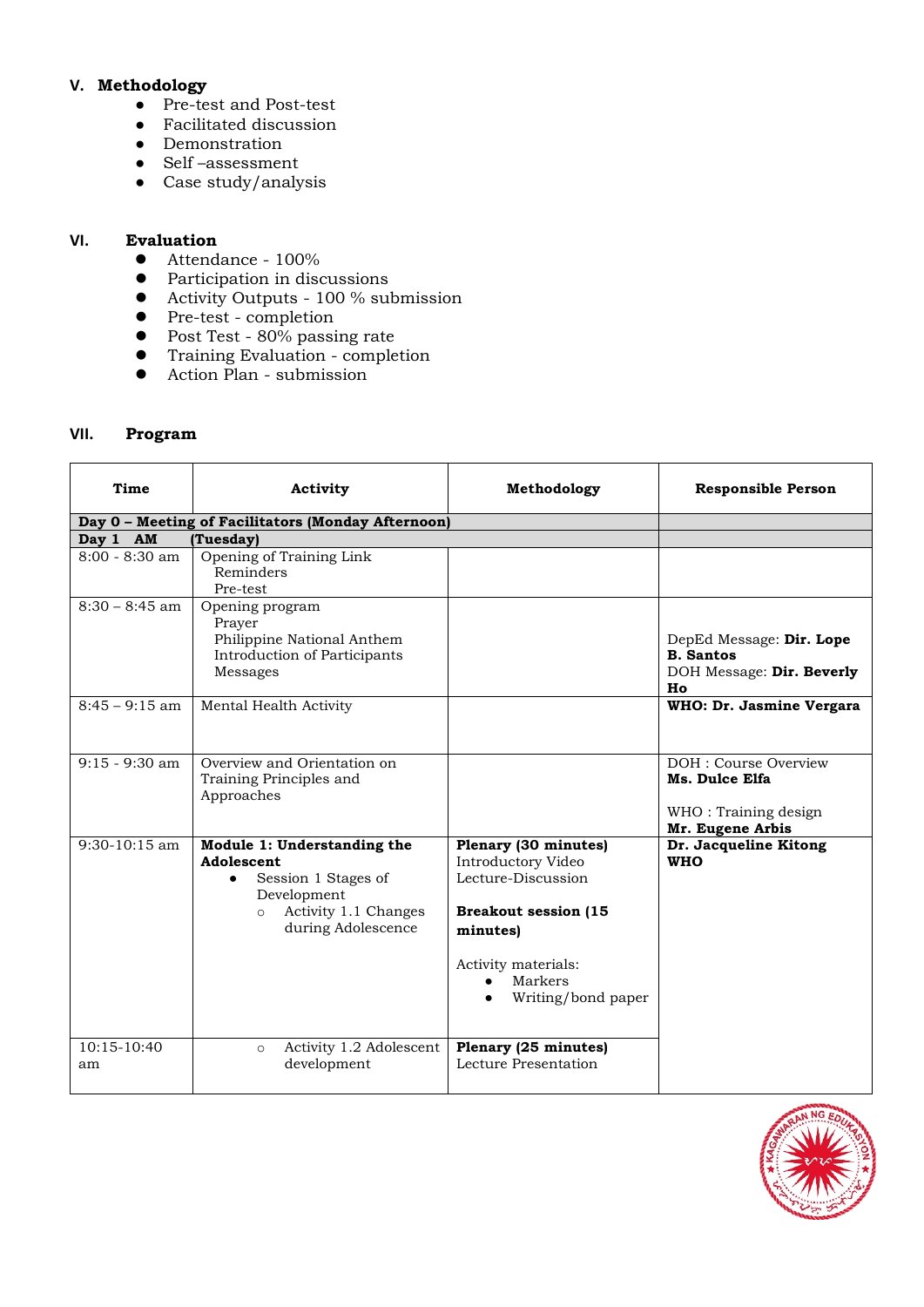## **V. Methodology**

- Pre-test and Post-test
- Facilitated discussion
- Demonstration
- Self –assessment
- Case study/analysis

#### **VI. Evaluation**

- Attendance 100%
- Participation in discussions
- Activity Outputs 100 % submission
- Pre-test completion
- Post Test 80% passing rate
- Training Evaluation completion
- Action Plan submission

## **VII. Program**

| Time                | Activity                                                                                                                                 | Methodology                                                                                                                                                                      | <b>Responsible Person</b>                                                           |
|---------------------|------------------------------------------------------------------------------------------------------------------------------------------|----------------------------------------------------------------------------------------------------------------------------------------------------------------------------------|-------------------------------------------------------------------------------------|
|                     | Day 0 - Meeting of Facilitators (Monday Afternoon)                                                                                       |                                                                                                                                                                                  |                                                                                     |
| Day 1 AM            | (Tuesday)                                                                                                                                |                                                                                                                                                                                  |                                                                                     |
| 8:00 - 8:30 am      | Opening of Training Link<br>Reminders<br>Pre-test                                                                                        |                                                                                                                                                                                  |                                                                                     |
| $8:30 - 8:45$ am    | Opening program<br>Prayer<br>Philippine National Anthem<br>Introduction of Participants<br>Messages                                      |                                                                                                                                                                                  | DepEd Message: Dir. Lope<br><b>B.</b> Santos<br>DOH Message: Dir. Beverly<br>Ho     |
| $8:45 - 9:15$ am    | Mental Health Activity                                                                                                                   |                                                                                                                                                                                  | WHO: Dr. Jasmine Vergara                                                            |
| $9:15 - 9:30$ am    | Overview and Orientation on<br>Training Principles and<br>Approaches                                                                     |                                                                                                                                                                                  | DOH : Course Overview<br>Ms. Dulce Elfa<br>WHO: Training design<br>Mr. Eugene Arbis |
| $9:30-10:15$ am     | Module 1: Understanding the<br>Adolescent<br>Session 1 Stages of<br>Development<br>Activity 1.1 Changes<br>$\circ$<br>during Adolescence | Plenary (30 minutes)<br>Introductory Video<br>Lecture-Discussion<br><b>Breakout session (15</b><br>minutes)<br>Activity materials:<br>Markers<br>$\bullet$<br>Writing/bond paper | Dr. Jacqueline Kitong<br><b>WHO</b>                                                 |
| $10:15-10:40$<br>am | Activity 1.2 Adolescent<br>$\circ$<br>development                                                                                        | Plenary (25 minutes)<br>Lecture Presentation                                                                                                                                     |                                                                                     |

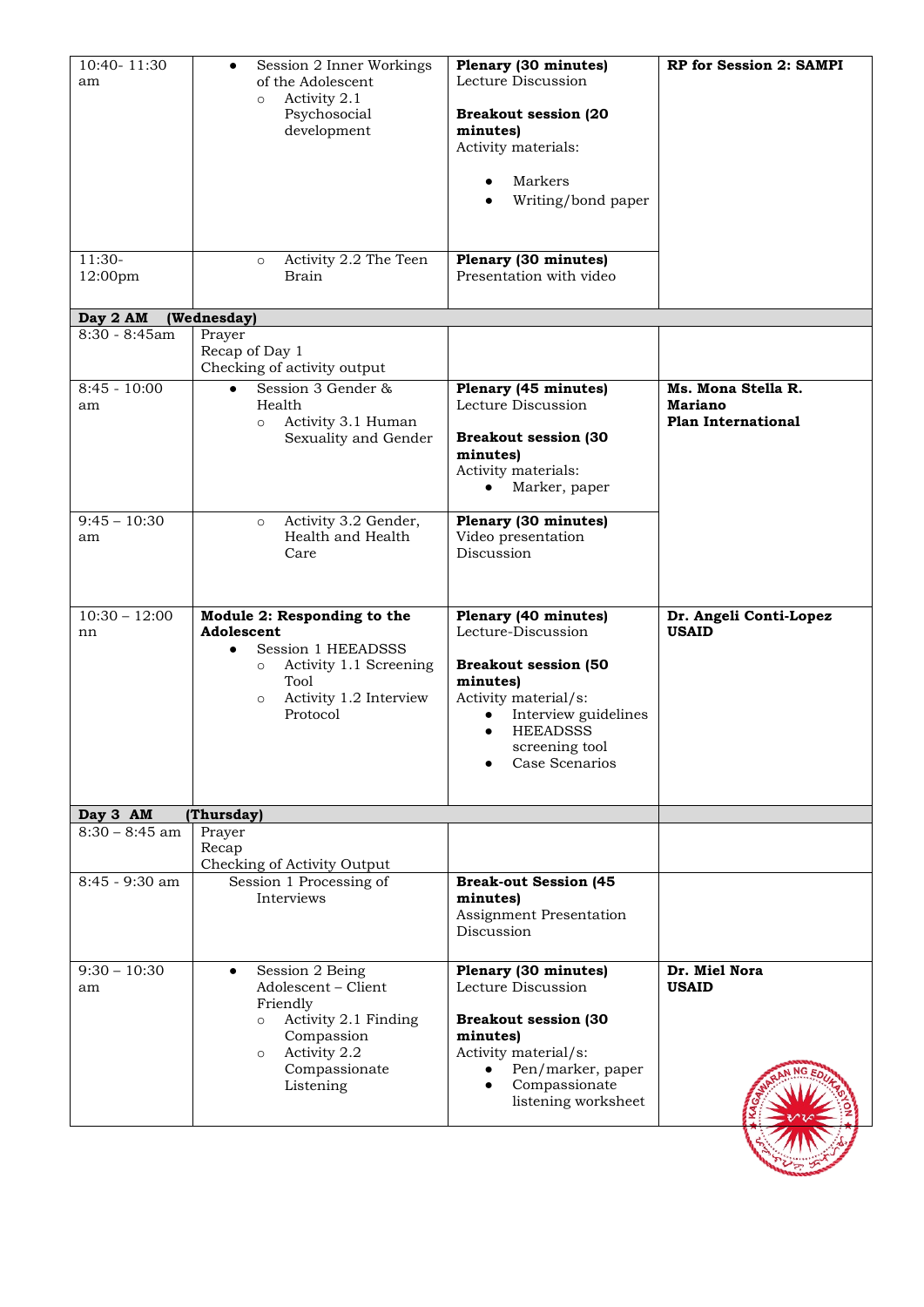| of the Adolescent<br>Activity 2.1<br>$\circ$<br>Psychosocial<br>development<br>Activity 2.2 The Teen<br>$\circ$<br><b>Brain</b>                                            | Lecture Discussion<br><b>Breakout session (20</b><br>minutes)<br>Activity materials:<br>Markers<br>Writing/bond paper<br>Plenary (30 minutes)<br>Presentation with video                                  |                                                                   |
|----------------------------------------------------------------------------------------------------------------------------------------------------------------------------|-----------------------------------------------------------------------------------------------------------------------------------------------------------------------------------------------------------|-------------------------------------------------------------------|
|                                                                                                                                                                            |                                                                                                                                                                                                           |                                                                   |
| Prayer<br>Recap of Day 1<br>Checking of activity output                                                                                                                    |                                                                                                                                                                                                           |                                                                   |
| Session 3 Gender &<br>$\bullet$<br>Health<br>Activity 3.1 Human<br>$\circ$<br>Sexuality and Gender                                                                         | Plenary (45 minutes)<br>Lecture Discussion<br><b>Breakout session (30</b><br>minutes)<br>Activity materials:<br>Marker, paper<br>$\bullet$                                                                | Ms. Mona Stella R.<br><b>Mariano</b><br><b>Plan International</b> |
| Activity 3.2 Gender,<br>$\circ$<br>Health and Health<br>Care                                                                                                               | Plenary (30 minutes)<br>Video presentation<br>Discussion                                                                                                                                                  |                                                                   |
| Module 2: Responding to the<br>Adolescent<br>Session 1 HEEADSSS<br>$\bullet$<br>Activity 1.1 Screening<br>$\circ$<br>Tool<br>Activity 1.2 Interview<br>$\circ$<br>Protocol | Plenary (40 minutes)<br>Lecture-Discussion<br><b>Breakout session (50</b><br>minutes)<br>Activity material/s:<br>Interview guidelines<br><b>HEEADSSS</b><br>$\bullet$<br>screening tool<br>Case Scenarios | Dr. Angeli Conti-Lopez<br><b>USAID</b>                            |
|                                                                                                                                                                            |                                                                                                                                                                                                           |                                                                   |
| Prayer<br>Recap<br>Checking of Activity Output                                                                                                                             |                                                                                                                                                                                                           |                                                                   |
| Interviews                                                                                                                                                                 | minutes)<br>Assignment Presentation<br>Discussion                                                                                                                                                         |                                                                   |
| Session 2 Being<br>$\bullet$<br>Adolescent - Client<br>Friendly<br>Activity 2.1 Finding<br>$\circ$<br>Compassion<br>Activity 2.2<br>$\circ$<br>Compassionate<br>Listening  | Plenary (30 minutes)<br>Lecture Discussion<br><b>Breakout session (30</b><br>minutes)<br>Activity material/s:<br>Pen/marker, paper<br>Compassionate<br>$\bullet$<br>listening worksheet                   | Dr. Miel Nora<br><b>USAID</b>                                     |
|                                                                                                                                                                            | (Wednesday)<br>(Thursday)<br>Session 1 Processing of                                                                                                                                                      | <b>Break-out Session (45</b>                                      |